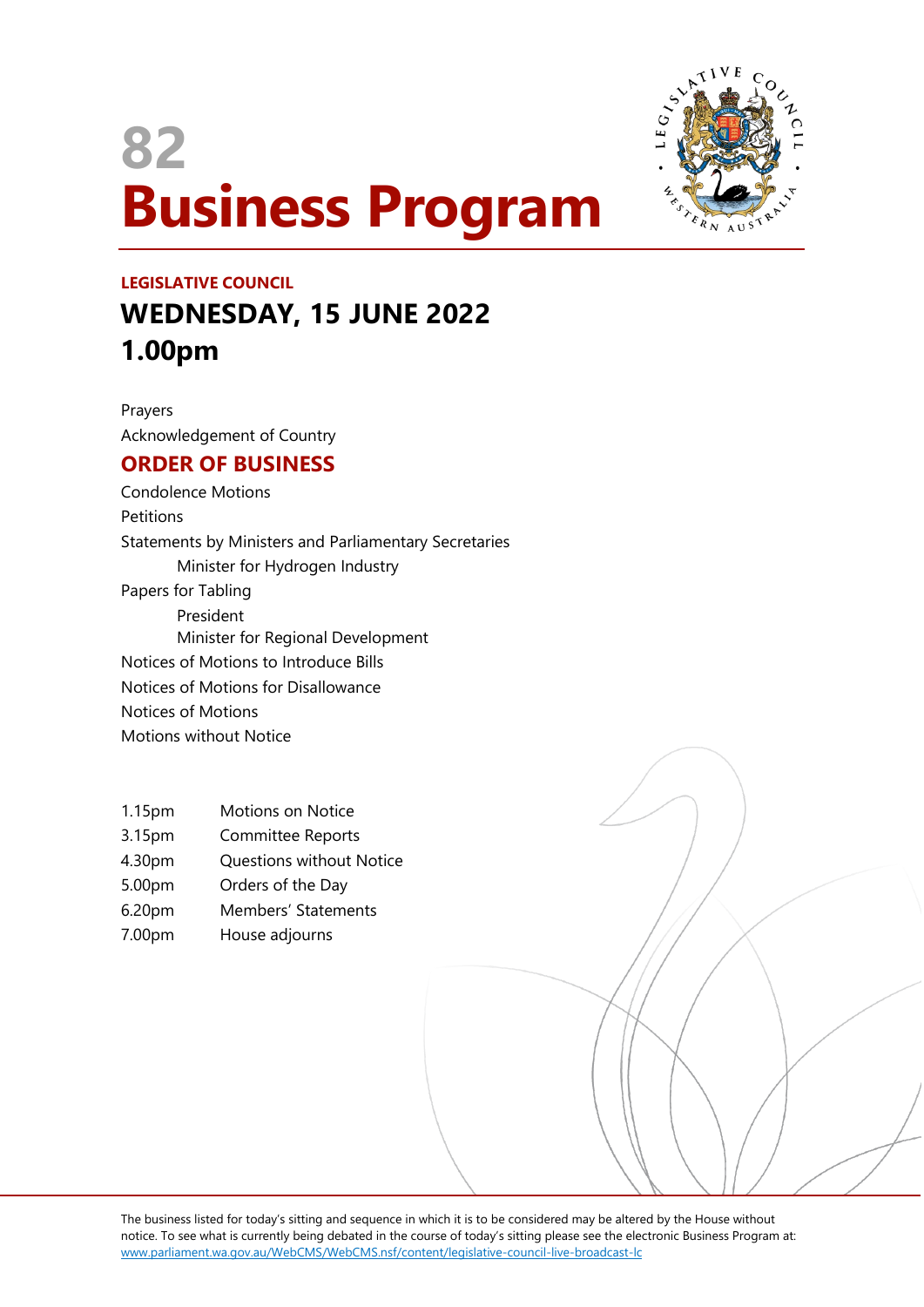# **82 Business Program**



## **LEGISLATIVE COUNCIL WEDNESDAY, 15 JUNE 2022 1.00pm**

Prayers Acknowledgement of Country

### **ORDER OF BUSINESS**

Condolence Motions **Petitions** Statements by Ministers and Parliamentary Secretaries Minister for Hydrogen Industry Papers for Tabling President Minister for Regional Development Notices of Motions to Introduce Bills Notices of Motions for Disallowance Notices of Motions Motions without Notice

- 1.15pm Motions on Notice
- 3.15pm Committee Reports
- 4.30pm Questions without Notice
- 5.00pm Orders of the Day
- 6.20pm Members' Statements
- 7.00pm House adjourns

The business listed for today's sitting and sequence in which it is to be considered may be altered by the House without notice. To see what is currently being debated in the course of today's sitting please see the electronic Business Program at: www.parliament.wa.gov.au/WebCMS/WebCMS.nsf/content/legislative-council-live-broadcast-lc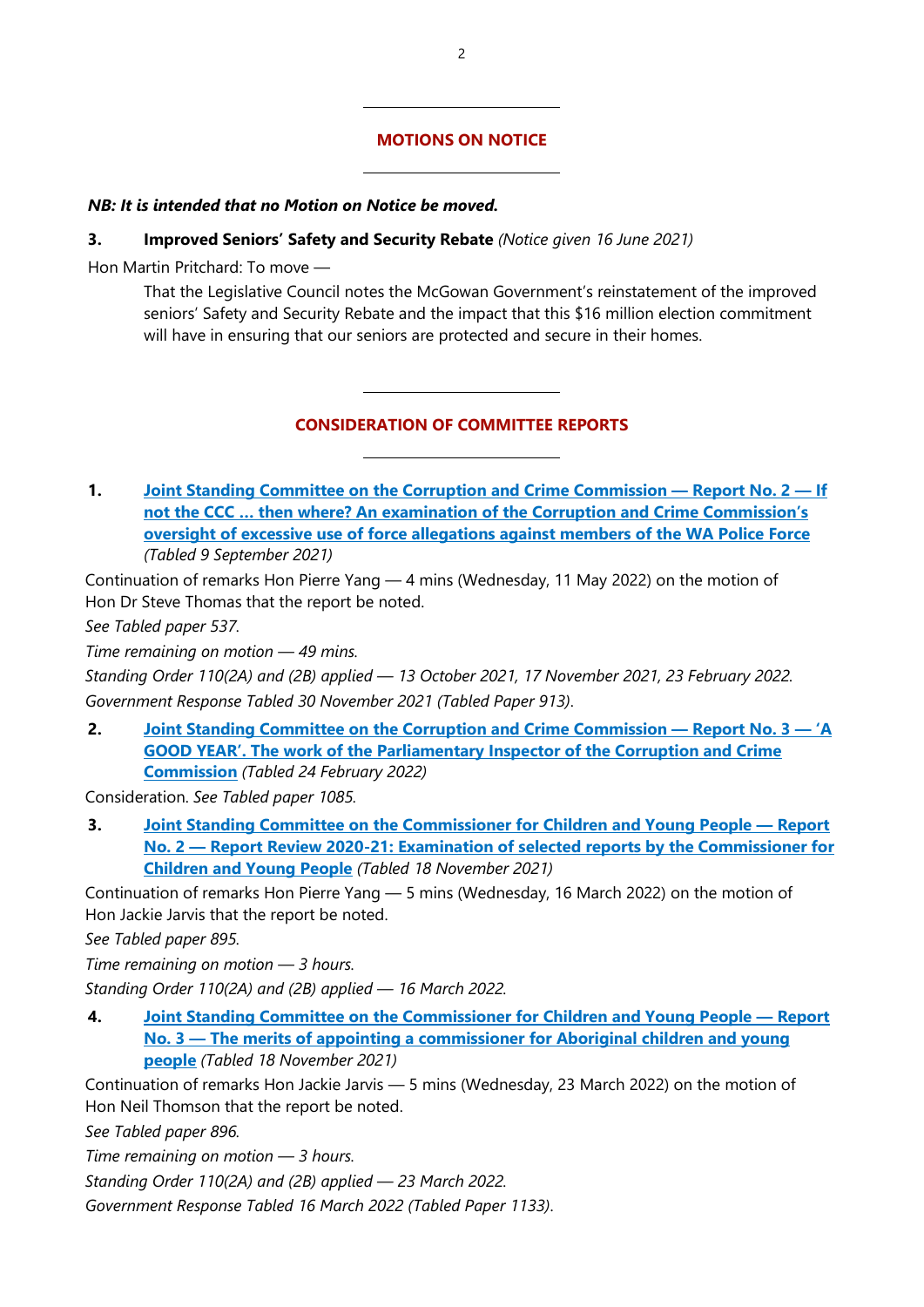#### **MOTIONS ON NOTICE**

#### *NB: It is intended that no Motion on Notice be moved.*

#### **3. Improved Seniors' Safety and Security Rebate** *(Notice given 16 June 2021)*

 $\overline{a}$ 

 $\overline{a}$ 

 $\overline{a}$ 

 $\overline{a}$ 

Hon Martin Pritchard: To move —

That the Legislative Council notes the McGowan Government's reinstatement of the improved seniors' Safety and Security Rebate and the impact that this \$16 million election commitment will have in ensuring that our seniors are protected and secure in their homes.

#### **CONSIDERATION OF COMMITTEE REPORTS**

**1. [Joint Standing Committee on the Corruption and Crime Commission](https://www.parliament.wa.gov.au/Parliament/commit.nsf/(Report+Lookup+by+Com+ID)/FDA26B0C31AFEC394825874A00166C49/$file/Report%202%20-%20If%20not%20the%20CCC%20...%20then%20where_%20Final%20document.pdf) — Report No. 2 — If [not the CCC … then where? An examination of the Corruption and Crime Commission's](https://www.parliament.wa.gov.au/Parliament/commit.nsf/(Report+Lookup+by+Com+ID)/FDA26B0C31AFEC394825874A00166C49/$file/Report%202%20-%20If%20not%20the%20CCC%20...%20then%20where_%20Final%20document.pdf)  [oversight of excessive use of force allegations against members of the WA Police Force](https://www.parliament.wa.gov.au/Parliament/commit.nsf/(Report+Lookup+by+Com+ID)/FDA26B0C31AFEC394825874A00166C49/$file/Report%202%20-%20If%20not%20the%20CCC%20...%20then%20where_%20Final%20document.pdf)** *(Tabled 9 September 2021)*

Continuation of remarks Hon Pierre Yang — 4 mins (Wednesday, 11 May 2022) on the motion of Hon Dr Steve Thomas that the report be noted.

*See Tabled paper 537.*

*Time remaining on motion — 49 mins.*

*Standing Order 110(2A) and (2B) applied — 13 October 2021, 17 November 2021, 23 February 2022. Government Response Tabled 30 November 2021 (Tabled Paper 913)*.

**2. [Joint Standing Committee on the Corruption and Crime Commission](https://www.parliament.wa.gov.au/Parliament/commit.nsf/(Report+Lookup+by+Com+ID)/A1096F15DF205975482587F20036A00F/$file/Report%203%20-%20A%20good%20year%20the%20work%20of%20the%20Parliamentary%20Inspector%20-%20Final%20Update.pdf) — Report No. 3 — 'A [GOOD YEAR'. The work of the Parliamentary Inspector of the Corruption and Crime](https://www.parliament.wa.gov.au/Parliament/commit.nsf/(Report+Lookup+by+Com+ID)/A1096F15DF205975482587F20036A00F/$file/Report%203%20-%20A%20good%20year%20the%20work%20of%20the%20Parliamentary%20Inspector%20-%20Final%20Update.pdf)  [Commission](https://www.parliament.wa.gov.au/Parliament/commit.nsf/(Report+Lookup+by+Com+ID)/A1096F15DF205975482587F20036A00F/$file/Report%203%20-%20A%20good%20year%20the%20work%20of%20the%20Parliamentary%20Inspector%20-%20Final%20Update.pdf)** *(Tabled 24 February 2022)*

Consideration. *See Tabled paper 1085.*

**3. [Joint Standing Committee on the Commissioner for Children and Young People](https://www.parliament.wa.gov.au/Parliament/commit.nsf/(Report+Lookup+by+Com+ID)/E50F8E8D1EE3B8E24825879000284045/$file/39119405.PDF) — Report No. 2 — [Report Review 2020-21: Examination of selected reports by the Commissioner for](https://www.parliament.wa.gov.au/Parliament/commit.nsf/(Report+Lookup+by+Com+ID)/E50F8E8D1EE3B8E24825879000284045/$file/39119405.PDF)  [Children and Young People](https://www.parliament.wa.gov.au/Parliament/commit.nsf/(Report+Lookup+by+Com+ID)/E50F8E8D1EE3B8E24825879000284045/$file/39119405.PDF)** *(Tabled 18 November 2021)*

Continuation of remarks Hon Pierre Yang — 5 mins (Wednesday, 16 March 2022) on the motion of Hon Jackie Jarvis that the report be noted.

*See Tabled paper 895.*

*Time remaining on motion — 3 hours.*

*Standing Order 110(2A) and (2B) applied — 16 March 2022.*

**4. [Joint Standing Committee on the Commissioner for Children and Young People](https://www.parliament.wa.gov.au/Parliament/commit.nsf/(Report+Lookup+by+Com+ID)/9880D7454F4CE9374825879000285D0F/$file/39902060.pdf) — Report No. 3 — [The merits of appointing a commissioner for Aboriginal children and young](https://www.parliament.wa.gov.au/Parliament/commit.nsf/(Report+Lookup+by+Com+ID)/9880D7454F4CE9374825879000285D0F/$file/39902060.pdf)  [people](https://www.parliament.wa.gov.au/Parliament/commit.nsf/(Report+Lookup+by+Com+ID)/9880D7454F4CE9374825879000285D0F/$file/39902060.pdf)** *(Tabled 18 November 2021)*

Continuation of remarks Hon Jackie Jarvis — 5 mins (Wednesday, 23 March 2022) on the motion of Hon Neil Thomson that the report be noted.

*See Tabled paper 896.*

*Time remaining on motion — 3 hours.*

*Standing Order 110(2A) and (2B) applied — 23 March 2022.*

*Government Response Tabled 16 March 2022 (Tabled Paper 1133)*.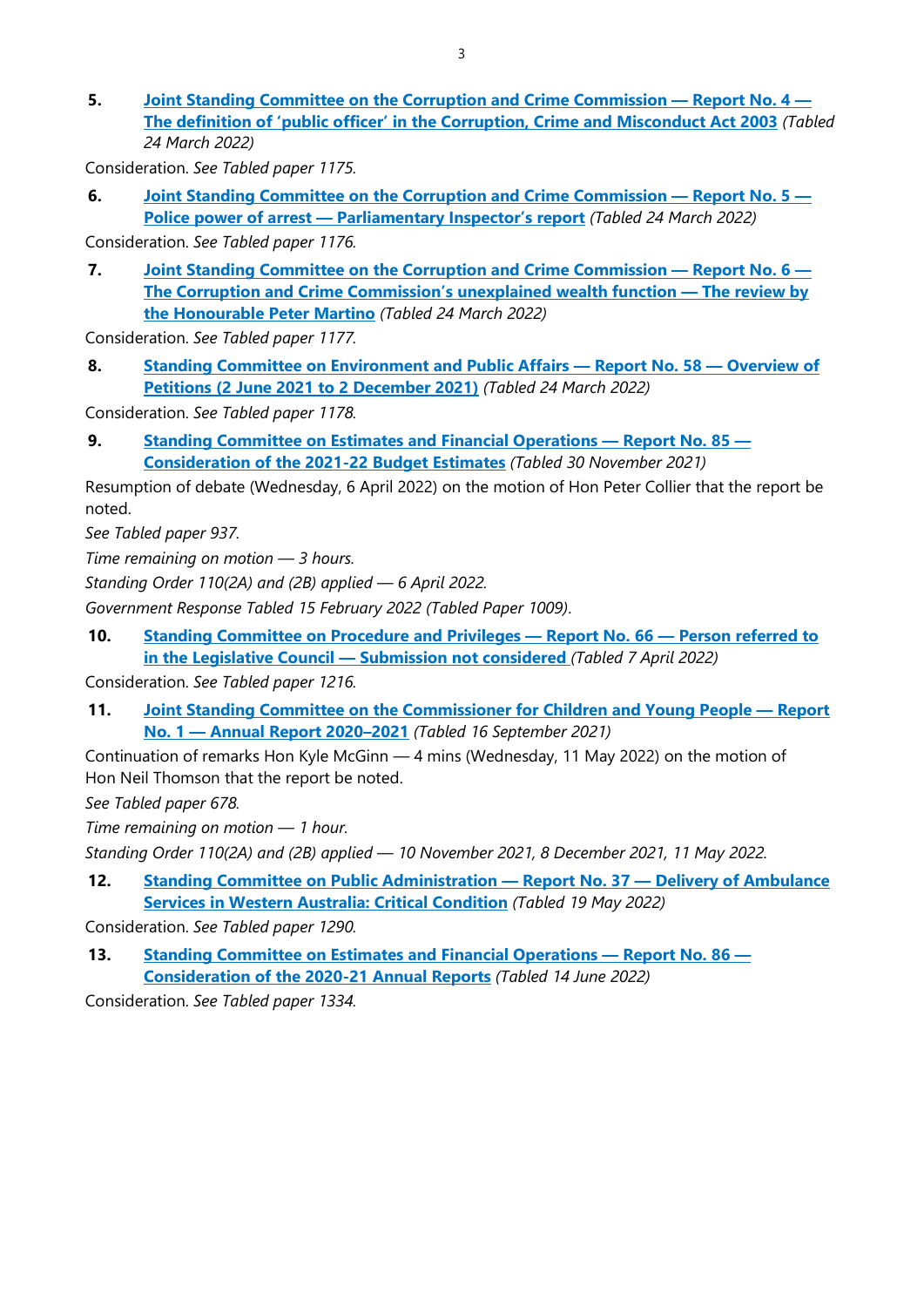**5. [Joint Standing Committee on the Corruption and Crime Commission](https://www.parliament.wa.gov.au/Parliament/commit.nsf/(Report+Lookup+by+Com+ID)/ED9D3F6485BC23034825880E00285532/$file/Report%204%20-%20The%20definition%20of%20) — Report No. 4 — [The definition of 'public officer' in the Corruption, Crime and Misconduct Act 2003](https://www.parliament.wa.gov.au/Parliament/commit.nsf/(Report+Lookup+by+Com+ID)/ED9D3F6485BC23034825880E00285532/$file/Report%204%20-%20The%20definition%20of%20)** *(Tabled 24 March 2022)*

Consideration. *See Tabled paper 1175.*

**6. [Joint Standing Committee on the Corruption and Crime Commission](https://www.parliament.wa.gov.au/Parliament/commit.nsf/(Report+Lookup+by+Com+ID)/9EAD3D6C0B2838F04825880E00289F11/$file/Report%205%20-%20Police%20power%20of%20arrest%20-%20Parliamentary%20Inspector) — Report No. 5 — Police power of arrest — [Parliamentary Inspector's report](https://www.parliament.wa.gov.au/Parliament/commit.nsf/(Report+Lookup+by+Com+ID)/9EAD3D6C0B2838F04825880E00289F11/$file/Report%205%20-%20Police%20power%20of%20arrest%20-%20Parliamentary%20Inspector)** *(Tabled 24 March 2022)*

Consideration. *See Tabled paper 1176.*

**7. [Joint Standing Committee on the Corruption and Crime Commission](https://www.parliament.wa.gov.au/Parliament/commit.nsf/(Report+Lookup+by+Com+ID)/D37971919A2CDBB14825880E00281ED3/$file/Report%206%20-%20The%20CCC) — Report No. 6 — [The Corruption and Crime Commission's unexplained wealth function](https://www.parliament.wa.gov.au/Parliament/commit.nsf/(Report+Lookup+by+Com+ID)/D37971919A2CDBB14825880E00281ED3/$file/Report%206%20-%20The%20CCC) — The review by [the Honourable Peter Martino](https://www.parliament.wa.gov.au/Parliament/commit.nsf/(Report+Lookup+by+Com+ID)/D37971919A2CDBB14825880E00281ED3/$file/Report%206%20-%20The%20CCC)** *(Tabled 24 March 2022)*

Consideration. *See Tabled paper 1177.*

**8. [Standing Committee on Environment and Public Affairs](https://www.parliament.wa.gov.au/Parliament/commit.nsf/(Report+Lookup+by+Com+ID)/EDCAB3750928D63A4825880F00124DCF/$file/ev.pet21.220324.rpf.058.xx.pdf) — Report No. 58 — Overview of [Petitions \(2 June 2021 to 2 December 2021\)](https://www.parliament.wa.gov.au/Parliament/commit.nsf/(Report+Lookup+by+Com+ID)/EDCAB3750928D63A4825880F00124DCF/$file/ev.pet21.220324.rpf.058.xx.pdf)** *(Tabled 24 March 2022)*

Consideration. *See Tabled paper 1178.*

**9. [Standing Committee on Estimates and Financial Operations](http://intranet/parliament/commit.nsf/(Report+Lookup+by+Com+ID)/B80496BE545D6FDB4825879C0010464B/$file/ef.ehw22.211130.rpf.085.xx.web.pdf) — Report No. 85 — [Consideration of the 2021-22 Budget Estimates](http://intranet/parliament/commit.nsf/(Report+Lookup+by+Com+ID)/B80496BE545D6FDB4825879C0010464B/$file/ef.ehw22.211130.rpf.085.xx.web.pdf)** *(Tabled 30 November 2021)*

Resumption of debate (Wednesday, 6 April 2022) on the motion of Hon Peter Collier that the report be noted.

*See Tabled paper 937.*

*Time remaining on motion — 3 hours.*

*Standing Order 110(2A) and (2B) applied — 6 April 2022.*

*Government Response Tabled 15 February 2022 (Tabled Paper 1009)*.

**10. [Standing Committee on Procedure and Privileges](https://www.parliament.wa.gov.au/Parliament/commit.nsf/(Report+Lookup+by+Com+ID)/B37730751860BDBC4825881D001734AD/$file/PPC%20Report%2066.pdf) — Report No. 66 — Person referred to in the Legislative Council — [Submission not considered](https://www.parliament.wa.gov.au/Parliament/commit.nsf/(Report+Lookup+by+Com+ID)/B37730751860BDBC4825881D001734AD/$file/PPC%20Report%2066.pdf)** *(Tabled 7 April 2022)*

Consideration. *See Tabled paper 1216.*

**11. [Joint Standing Committee on the Commissioner for Children and Young People](https://www.parliament.wa.gov.au/Parliament/commit.nsf/(Report+Lookup+by+Com+ID)/8D30EF84A4C3463E48258752000A9E2F/$file/2020-21%20AR%20JSCCCYP%20final%20-.pdf) — Report No. 1 — [Annual Report 2020–2021](https://www.parliament.wa.gov.au/Parliament/commit.nsf/(Report+Lookup+by+Com+ID)/8D30EF84A4C3463E48258752000A9E2F/$file/2020-21%20AR%20JSCCCYP%20final%20-.pdf)** *(Tabled 16 September 2021)*

Continuation of remarks Hon Kyle McGinn — 4 mins (Wednesday, 11 May 2022) on the motion of Hon Neil Thomson that the report be noted.

*See Tabled paper 678.*

*Time remaining on motion — 1 hour.*

*Standing Order 110(2A) and (2B) applied — 10 November 2021, 8 December 2021, 11 May 2022.*

**12. [Standing Committee on Public Administration](http://intranet/parliament/commit.nsf/(Report+Lookup+by+Com+ID)/F488C9C6E5A266FE48258847000D1C02/$file/pc.all.220519.rpf.037.xx.pdff) — Report No. 37 — Delivery of Ambulance [Services in Western Australia: Critical Condition](http://intranet/parliament/commit.nsf/(Report+Lookup+by+Com+ID)/F488C9C6E5A266FE48258847000D1C02/$file/pc.all.220519.rpf.037.xx.pdff)** *(Tabled 19 May 2022)*

Consideration. *See Tabled paper 1290.*

**13. [Standing Committee on Estimates and Financial Operations](https://www.parliament.wa.gov.au/Parliament/commit.nsf/(Report+Lookup+by+Com+ID)/569CB30BA1CD70624825885B00018D35/$file/ef.ar21.220614.rpf.086.xx.pdf) — Report No. 86 — [Consideration of the 2020-21 Annual Reports](https://www.parliament.wa.gov.au/Parliament/commit.nsf/(Report+Lookup+by+Com+ID)/569CB30BA1CD70624825885B00018D35/$file/ef.ar21.220614.rpf.086.xx.pdf)** *(Tabled 14 June 2022)*

Consideration. *See Tabled paper 1334.*